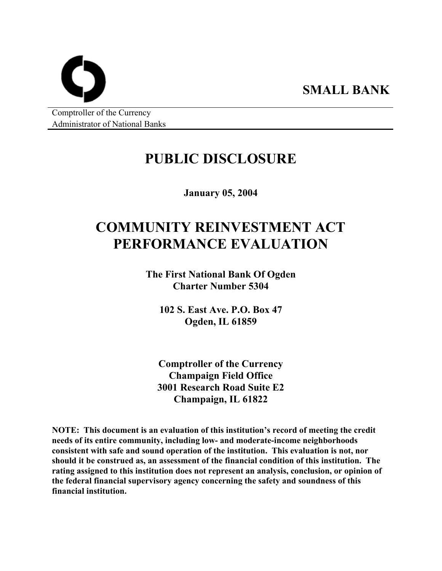Comptroller of the Currency Administrator of National Banks

# **PUBLIC DISCLOSURE**

**SMALL BANK** 

**January 05, 2004** 

# **COMMUNITY REINVESTMENT ACT PERFORMANCE EVALUATION**

**The First National Bank Of Ogden Charter Number 5304** 

**102 S. East Ave. P.O. Box 47 Ogden, IL 61859** 

**Comptroller of the Currency Champaign Field Office 3001 Research Road Suite E2 Champaign, IL 61822** 

**NOTE: This document is an evaluation of this institution's record of meeting the credit needs of its entire community, including low- and moderate-income neighborhoods consistent with safe and sound operation of the institution. This evaluation is not, nor should it be construed as, an assessment of the financial condition of this institution. The rating assigned to this institution does not represent an analysis, conclusion, or opinion of the federal financial supervisory agency concerning the safety and soundness of this financial institution.**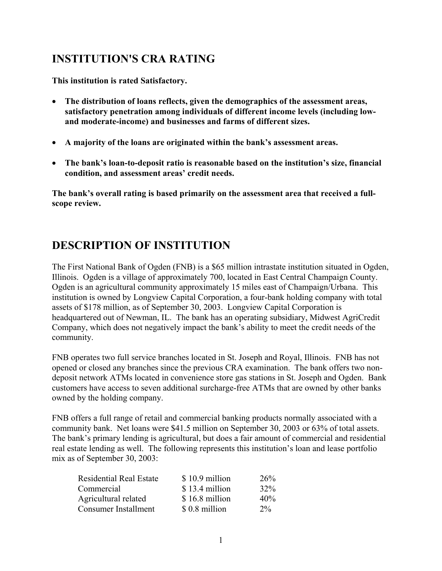### **INSTITUTION'S CRA RATING**

**This institution is rated Satisfactory.** 

- **The distribution of loans reflects, given the demographics of the assessment areas, satisfactory penetration among individuals of different income levels (including lowand moderate-income) and businesses and farms of different sizes.**
- **A majority of the loans are originated within the bank's assessment areas.**
- **The bank's loan-to-deposit ratio is reasonable based on the institution's size, financial condition, and assessment areas' credit needs.**

**The bank's overall rating is based primarily on the assessment area that received a fullscope review.**

## **DESCRIPTION OF INSTITUTION**

The First National Bank of Ogden (FNB) is a \$65 million intrastate institution situated in Ogden, Illinois. Ogden is a village of approximately 700, located in East Central Champaign County. Ogden is an agricultural community approximately 15 miles east of Champaign/Urbana. This institution is owned by Longview Capital Corporation, a four-bank holding company with total assets of \$178 million, as of September 30, 2003. Longview Capital Corporation is headquartered out of Newman, IL. The bank has an operating subsidiary, Midwest AgriCredit Company, which does not negatively impact the bank's ability to meet the credit needs of the community.

FNB operates two full service branches located in St. Joseph and Royal, Illinois. FNB has not opened or closed any branches since the previous CRA examination. The bank offers two nondeposit network ATMs located in convenience store gas stations in St. Joseph and Ogden. Bank customers have access to seven additional surcharge-free ATMs that are owned by other banks owned by the holding company.

FNB offers a full range of retail and commercial banking products normally associated with a community bank. Net loans were \$41.5 million on September 30, 2003 or 63% of total assets. The bank's primary lending is agricultural, but does a fair amount of commercial and residential real estate lending as well. The following represents this institution's loan and lease portfolio mix as of September 30, 2003:

| <b>Residential Real Estate</b> | \$10.9 million | 26%   |
|--------------------------------|----------------|-------|
| Commercial                     | \$13.4 million | 32%   |
| Agricultural related           | \$16.8 million | 40%   |
| Consumer Installment           | \$0.8 million  | $2\%$ |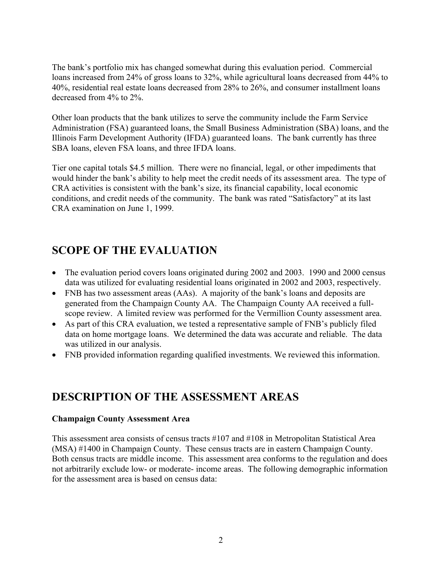The bank's portfolio mix has changed somewhat during this evaluation period. Commercial loans increased from 24% of gross loans to 32%, while agricultural loans decreased from 44% to 40%, residential real estate loans decreased from 28% to 26%, and consumer installment loans decreased from 4% to 2%.

Other loan products that the bank utilizes to serve the community include the Farm Service Administration (FSA) guaranteed loans, the Small Business Administration (SBA) loans, and the Illinois Farm Development Authority (IFDA) guaranteed loans. The bank currently has three SBA loans, eleven FSA loans, and three IFDA loans.

Tier one capital totals \$4.5 million. There were no financial, legal, or other impediments that would hinder the bank's ability to help meet the credit needs of its assessment area. The type of CRA activities is consistent with the bank's size, its financial capability, local economic conditions, and credit needs of the community. The bank was rated "Satisfactory" at its last CRA examination on June 1, 1999.

### **SCOPE OF THE EVALUATION**

- The evaluation period covers loans originated during 2002 and 2003. 1990 and 2000 census data was utilized for evaluating residential loans originated in 2002 and 2003, respectively.
- FNB has two assessment areas (AAs). A majority of the bank's loans and deposits are generated from the Champaign County AA. The Champaign County AA received a fullscope review. A limited review was performed for the Vermillion County assessment area.
- As part of this CRA evaluation, we tested a representative sample of FNB's publicly filed data on home mortgage loans. We determined the data was accurate and reliable. The data was utilized in our analysis.
- FNB provided information regarding qualified investments. We reviewed this information.

### **DESCRIPTION OF THE ASSESSMENT AREAS**

#### **Champaign County Assessment Area**

This assessment area consists of census tracts #107 and #108 in Metropolitan Statistical Area (MSA) #1400 in Champaign County. These census tracts are in eastern Champaign County. Both census tracts are middle income. This assessment area conforms to the regulation and does not arbitrarily exclude low- or moderate- income areas. The following demographic information for the assessment area is based on census data: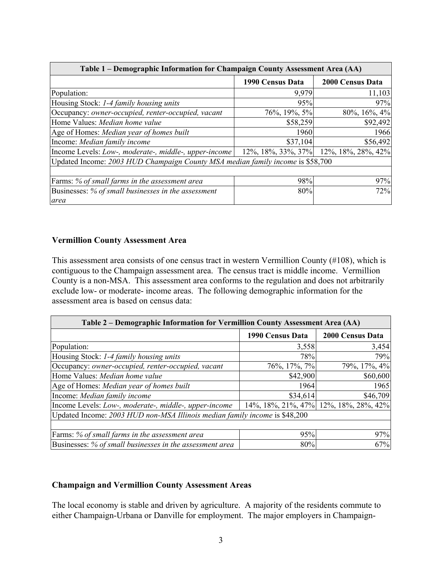| Table 1 – Demographic Information for Champaign County Assessment Area (AA)    |                  |                                       |  |  |  |  |  |  |
|--------------------------------------------------------------------------------|------------------|---------------------------------------|--|--|--|--|--|--|
|                                                                                | 1990 Census Data | 2000 Census Data                      |  |  |  |  |  |  |
| Population:                                                                    | 9,979            | 11,103                                |  |  |  |  |  |  |
| Housing Stock: 1-4 family housing units                                        | 95%              | 97%                                   |  |  |  |  |  |  |
| Occupancy: owner-occupied, renter-occupied, vacant                             | 76%, 19%, 5%     | 80%, 16%, 4%                          |  |  |  |  |  |  |
| Home Values: Median home value                                                 | \$58,259         | \$92,492                              |  |  |  |  |  |  |
| Age of Homes: Median year of homes built                                       | 1960             | 1966                                  |  |  |  |  |  |  |
| Income: Median family income                                                   | \$37,104         | \$56,492                              |  |  |  |  |  |  |
| Income Levels: Low-, moderate-, middle-, upper-income                          |                  | 12%, 18%, 33%, 37% 12%, 18%, 28%, 42% |  |  |  |  |  |  |
| Updated Income: 2003 HUD Champaign County MSA median family income is \$58,700 |                  |                                       |  |  |  |  |  |  |
|                                                                                |                  |                                       |  |  |  |  |  |  |
| Farms: % of small farms in the assessment area                                 | 98%              | 97%                                   |  |  |  |  |  |  |
| Businesses: % of small businesses in the assessment                            | 80%              | 72%                                   |  |  |  |  |  |  |
| area                                                                           |                  |                                       |  |  |  |  |  |  |

#### **Vermillion County Assessment Area**

This assessment area consists of one census tract in western Vermillion County (#108), which is contiguous to the Champaign assessment area. The census tract is middle income. Vermillion County is a non-MSA. This assessment area conforms to the regulation and does not arbitrarily exclude low- or moderate- income areas. The following demographic information for the assessment area is based on census data:

| Table 2 – Demographic Information for Vermillion County Assessment Area (AA) |                  |                                       |  |  |  |  |  |
|------------------------------------------------------------------------------|------------------|---------------------------------------|--|--|--|--|--|
|                                                                              | 1990 Census Data | <b>2000 Census Data</b>               |  |  |  |  |  |
| Population:                                                                  | 3,558            | 3,454                                 |  |  |  |  |  |
| Housing Stock: 1-4 family housing units                                      | 78%              | 79%                                   |  |  |  |  |  |
| Occupancy: owner-occupied, renter-occupied, vacant                           | 76\%, 17\%, 7\%  | 79%, 17%, 4%                          |  |  |  |  |  |
| Home Values: Median home value                                               | \$42,900         | \$60,600                              |  |  |  |  |  |
| Age of Homes: Median year of homes built                                     | 1964             | 1965                                  |  |  |  |  |  |
| Income: Median family income                                                 | \$34,614         | \$46,709                              |  |  |  |  |  |
| Income Levels: Low-, moderate-, middle-, upper-income                        |                  | 14%, 18%, 21%, 47% 12%, 18%, 28%, 42% |  |  |  |  |  |
| Updated Income: 2003 HUD non-MSA Illinois median family income is \$48,200   |                  |                                       |  |  |  |  |  |
|                                                                              |                  |                                       |  |  |  |  |  |
| Farms: % of small farms in the assessment area                               | 95%              | 97%                                   |  |  |  |  |  |
| Businesses: % of small businesses in the assessment area                     | 80%              | 67%                                   |  |  |  |  |  |

#### **Champaign and Vermillion County Assessment Areas**

The local economy is stable and driven by agriculture. A majority of the residents commute to either Champaign-Urbana or Danville for employment. The major employers in Champaign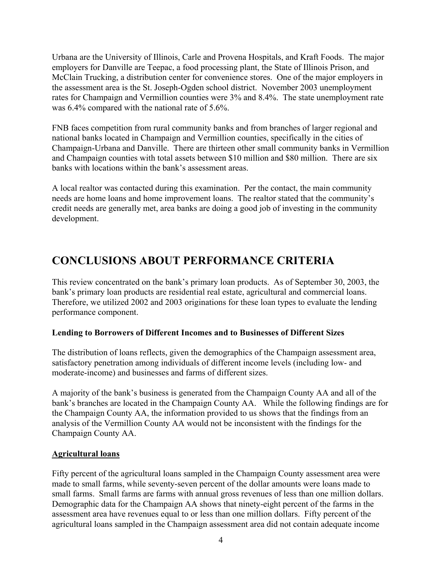Urbana are the University of Illinois, Carle and Provena Hospitals, and Kraft Foods. The major employers for Danville are Teepac, a food processing plant, the State of Illinois Prison, and McClain Trucking, a distribution center for convenience stores. One of the major employers in the assessment area is the St. Joseph-Ogden school district. November 2003 unemployment rates for Champaign and Vermillion counties were 3% and 8.4%. The state unemployment rate was 6.4% compared with the national rate of 5.6%.

FNB faces competition from rural community banks and from branches of larger regional and national banks located in Champaign and Vermillion counties, specifically in the cities of Champaign-Urbana and Danville. There are thirteen other small community banks in Vermillion and Champaign counties with total assets between \$10 million and \$80 million. There are six banks with locations within the bank's assessment areas.

A local realtor was contacted during this examination. Per the contact, the main community needs are home loans and home improvement loans. The realtor stated that the community's credit needs are generally met, area banks are doing a good job of investing in the community development.

## **CONCLUSIONS ABOUT PERFORMANCE CRITERIA**

This review concentrated on the bank's primary loan products. As of September 30, 2003, the bank's primary loan products are residential real estate, agricultural and commercial loans. Therefore, we utilized 2002 and 2003 originations for these loan types to evaluate the lending performance component.

#### **Lending to Borrowers of Different Incomes and to Businesses of Different Sizes**

The distribution of loans reflects, given the demographics of the Champaign assessment area, satisfactory penetration among individuals of different income levels (including low- and moderate-income) and businesses and farms of different sizes.

A majority of the bank's business is generated from the Champaign County AA and all of the bank's branches are located in the Champaign County AA. While the following findings are for the Champaign County AA, the information provided to us shows that the findings from an analysis of the Vermillion County AA would not be inconsistent with the findings for the Champaign County AA.

#### **Agricultural loans**

Fifty percent of the agricultural loans sampled in the Champaign County assessment area were made to small farms, while seventy-seven percent of the dollar amounts were loans made to small farms. Small farms are farms with annual gross revenues of less than one million dollars. Demographic data for the Champaign AA shows that ninety-eight percent of the farms in the assessment area have revenues equal to or less than one million dollars. Fifty percent of the agricultural loans sampled in the Champaign assessment area did not contain adequate income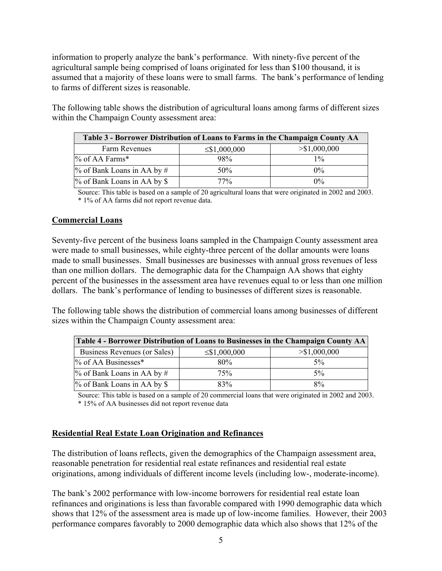information to properly analyze the bank's performance. With ninety-five percent of the agricultural sample being comprised of loans originated for less than \$100 thousand, it is assumed that a majority of these loans were to small farms. The bank's performance of lending to farms of different sizes is reasonable.

The following table shows the distribution of agricultural loans among farms of different sizes within the Champaign County assessment area:

| Table 3 - Borrower Distribution of Loans to Farms in the Champaign County AA |                    |                 |  |  |  |  |  |
|------------------------------------------------------------------------------|--------------------|-----------------|--|--|--|--|--|
| Farm Revenues                                                                | $\leq$ \$1,000,000 | $>$ \$1,000,000 |  |  |  |  |  |
| % of AA Farms*                                                               | 98%                | $1\%$           |  |  |  |  |  |
| $\%$ of Bank Loans in AA by #                                                | 50%                | $0\%$           |  |  |  |  |  |
| % of Bank Loans in AA by \$                                                  | $77\%$             | $0\%$           |  |  |  |  |  |

Source: This table is based on a sample of 20 agricultural loans that were originated in 2002 and 2003. \* 1% of AA farms did not report revenue data.

#### **Commercial Loans**

Seventy-five percent of the business loans sampled in the Champaign County assessment area were made to small businesses, while eighty-three percent of the dollar amounts were loans made to small businesses. Small businesses are businesses with annual gross revenues of less than one million dollars. The demographic data for the Champaign AA shows that eighty percent of the businesses in the assessment area have revenues equal to or less than one million dollars. The bank's performance of lending to businesses of different sizes is reasonable.

The following table shows the distribution of commercial loans among businesses of different sizes within the Champaign County assessment area:

| Table 4 - Borrower Distribution of Loans to Businesses in the Champaign County AA |                    |               |  |  |  |  |  |
|-----------------------------------------------------------------------------------|--------------------|---------------|--|--|--|--|--|
| Business Revenues (or Sales)                                                      | $\leq$ \$1,000,000 | > \$1,000,000 |  |  |  |  |  |
| % of AA Businesses*                                                               | 80%                | 5%            |  |  |  |  |  |
| $\%$ of Bank Loans in AA by #                                                     | 75%                | $5\%$         |  |  |  |  |  |
| % of Bank Loans in AA by \$                                                       | 83%                | 8%            |  |  |  |  |  |

Source: This table is based on a sample of 20 commercial loans that were originated in 2002 and 2003. \* 15% of AA businesses did not report revenue data

#### **Residential Real Estate Loan Origination and Refinances**

The distribution of loans reflects, given the demographics of the Champaign assessment area, reasonable penetration for residential real estate refinances and residential real estate originations, among individuals of different income levels (including low-, moderate-income).

The bank's 2002 performance with low-income borrowers for residential real estate loan refinances and originations is less than favorable compared with 1990 demographic data which shows that 12% of the assessment area is made up of low-income families. However, their 2003 performance compares favorably to 2000 demographic data which also shows that 12% of the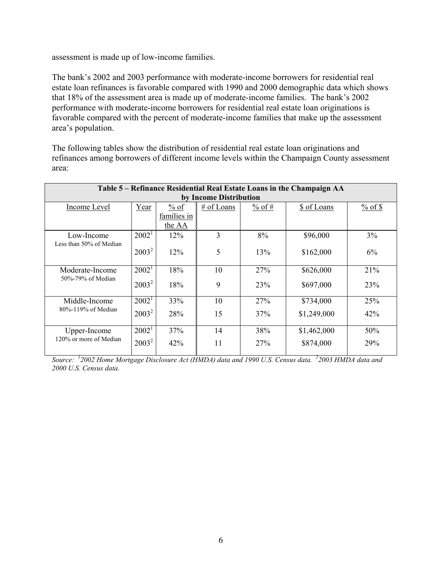assessment is made up of low-income families.

The bank's 2002 and 2003 performance with moderate-income borrowers for residential real estate loan refinances is favorable compared with 1990 and 2000 demographic data which shows that 18% of the assessment area is made up of moderate-income families. The bank's 2002 performance with moderate-income borrowers for residential real estate loan originations is favorable compared with the percent of moderate-income families that make up the assessment area's population.

The following tables show the distribution of residential real estate loan originations and refinances among borrowers of different income levels within the Champaign County assessment area:

| Table 5 – Refinance Residential Real Estate Loans in the Champaign AA |          |                  |                                       |     |             |     |  |  |  |
|-----------------------------------------------------------------------|----------|------------------|---------------------------------------|-----|-------------|-----|--|--|--|
| by Income Distribution                                                |          |                  |                                       |     |             |     |  |  |  |
| Income Level                                                          | Year     | $\frac{9}{6}$ of | # of Loans<br>$%$ of #<br>\$ of Loans |     |             |     |  |  |  |
|                                                                       |          | families in      |                                       |     |             |     |  |  |  |
|                                                                       |          | the AA           |                                       |     |             |     |  |  |  |
| Low-Income                                                            | $2002^1$ | 12%              | 3                                     | 8%  | \$96,000    | 3%  |  |  |  |
| Less than 50% of Median                                               |          |                  |                                       |     |             |     |  |  |  |
|                                                                       | $2003^2$ | 12%              | 5                                     | 13% | \$162,000   | 6%  |  |  |  |
|                                                                       |          |                  |                                       |     |             |     |  |  |  |
| Moderate-Income                                                       | $2002^1$ | 18%              | 10                                    | 27% | \$626,000   | 21% |  |  |  |
| 50%-79% of Median                                                     | $2003^2$ | 18%              | 9                                     | 23% | \$697,000   | 23% |  |  |  |
|                                                                       |          |                  |                                       |     |             |     |  |  |  |
| Middle-Income                                                         | $2002^1$ | 33%              | 10                                    | 27% | \$734,000   | 25% |  |  |  |
| 80%-119% of Median                                                    | $2003^2$ | 28%              | 15                                    | 37% | \$1,249,000 | 42% |  |  |  |
|                                                                       |          |                  |                                       |     |             |     |  |  |  |
| Upper-Income                                                          | $2002^1$ | 37%              | 14                                    | 38% | \$1,462,000 | 50% |  |  |  |
| 120% or more of Median                                                | $2003^2$ | 42%              | 11                                    | 27% | \$874,000   | 29% |  |  |  |
|                                                                       |          |                  |                                       |     |             |     |  |  |  |

*Source: <sup>1</sup> 2002 Home Mortgage Disclosure Act (HMDA) data and 1990 U.S. Census data. <sup>2</sup> 2003 HMDA data and 2000 U.S. Census data.*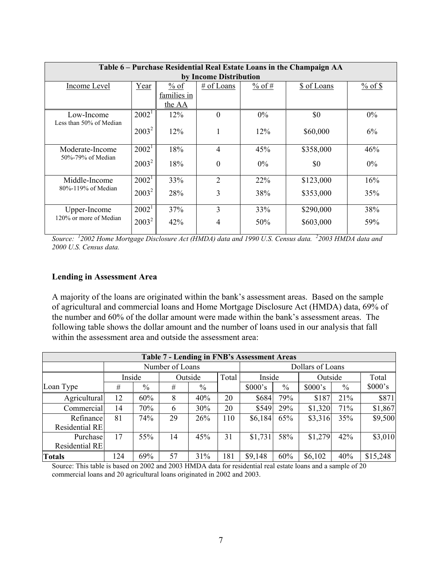| Table 6 – Purchase Residential Real Estate Loans in the Champaign AA |                   |                                  |                |             |           |       |  |  |  |  |
|----------------------------------------------------------------------|-------------------|----------------------------------|----------------|-------------|-----------|-------|--|--|--|--|
| by Income Distribution                                               |                   |                                  |                |             |           |       |  |  |  |  |
| Income Level                                                         | Year              | $%$ of<br># of Loans<br>$%$ of # |                | \$ of Loans |           |       |  |  |  |  |
|                                                                      |                   | families in                      |                |             |           |       |  |  |  |  |
|                                                                      |                   | the AA                           |                |             |           |       |  |  |  |  |
| Low-Income                                                           | $2002^1$          | 12%                              | $\Omega$       | $0\%$       | \$0       | $0\%$ |  |  |  |  |
| Less than 50% of Median                                              | $2003^2$          | 12%                              |                | $12\%$      | \$60,000  | 6%    |  |  |  |  |
| Moderate-Income                                                      | $2002^1$          | 18%                              | 4              | 45%         | \$358,000 | 46%   |  |  |  |  |
| 50%-79% of Median                                                    | $2003^2$          | 18%                              | $\Omega$       | $0\%$       | \$0       | $0\%$ |  |  |  |  |
| Middle-Income                                                        | 2002 <sup>1</sup> | 33%                              | $\overline{2}$ | 22%         | \$123,000 | 16%   |  |  |  |  |
| 80%-119% of Median                                                   | $2003^2$          | 28%                              | 3              | 38%         | \$353,000 | 35%   |  |  |  |  |
| Upper-Income                                                         | $2002^1$          | 37%                              | 3              | 33%         | \$290,000 | 38%   |  |  |  |  |
| 120% or more of Median                                               | $2003^2$          | 42%                              | 4              | 50%         | \$603,000 | 59%   |  |  |  |  |

*Source: <sup>1</sup> 2002 Home Mortgage Disclosure Act (HMDA) data and 1990 U.S. Census data. <sup>2</sup> 2003 HMDA data and 2000 U.S. Census data.* 

#### **Lending in Assessment Area**

A majority of the loans are originated within the bank's assessment areas. Based on the sample of agricultural and commercial loans and Home Mortgage Disclosure Act (HMDA) data, 69% of the number and 60% of the dollar amount were made within the bank's assessment areas. The following table shows the dollar amount and the number of loans used in our analysis that fall within the assessment area and outside the assessment area:

| <b>Table 7 - Lending in FNB's Assessment Areas</b> |                 |      |                  |      |                  |         |      |         |               |          |
|----------------------------------------------------|-----------------|------|------------------|------|------------------|---------|------|---------|---------------|----------|
|                                                    | Number of Loans |      |                  |      | Dollars of Loans |         |      |         |               |          |
|                                                    | Inside          |      | Total<br>Outside |      |                  | Inside  |      | Outside |               | Total    |
| Loan Type                                          | #               | $\%$ | #                | $\%$ |                  | \$000's | $\%$ | \$000's | $\frac{0}{0}$ | \$000's  |
| Agricultural                                       | 12              | 60%  | 8                | 40%  | 20               | \$684   | 79%  | \$187   | 21%           | \$871    |
| Commercial                                         | 14              | 70%  | 6                | 30%  | 20               | \$549   | 29%  | \$1,320 | 71%           | \$1,867  |
| Refinance<br>Residential RE                        | 81              | 74%  | 29               | 26%  | 110              | \$6,184 | 65%  | \$3,316 | 35%           | \$9,500  |
| Purchase<br>Residential RE                         | 17              | 55%  | 14               | 45%  | 31               | \$1,731 | 58%  | \$1,279 | 42%           | \$3,010  |
| <b>Totals</b>                                      | 124             | 69%  | 57               | 31%  | 181              | \$9,148 | 60%  | \$6,102 | 40%           | \$15,248 |

Source: This table is based on 2002 and 2003 HMDA data for residential real estate loans and a sample of 20 commercial loans and 20 agricultural loans originated in 2002 and 2003.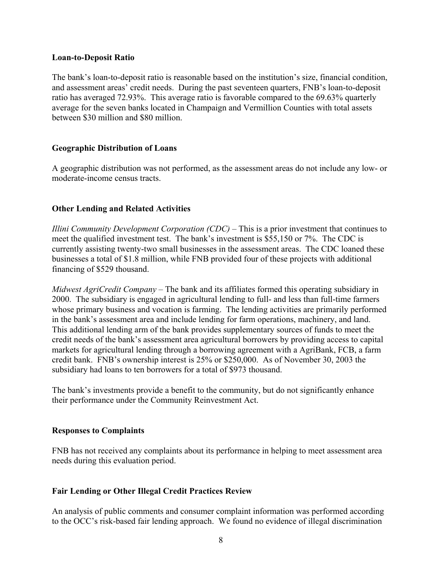#### **Loan-to-Deposit Ratio**

The bank's loan-to-deposit ratio is reasonable based on the institution's size, financial condition, and assessment areas' credit needs. During the past seventeen quarters, FNB's loan-to-deposit ratio has averaged 72.93%. This average ratio is favorable compared to the 69.63% quarterly average for the seven banks located in Champaign and Vermillion Counties with total assets between \$30 million and \$80 million.

#### **Geographic Distribution of Loans**

A geographic distribution was not performed, as the assessment areas do not include any low- or moderate-income census tracts.

#### **Other Lending and Related Activities**

*Illini Community Development Corporation (CDC)* – This is a prior investment that continues to meet the qualified investment test. The bank's investment is \$55,150 or 7%. The CDC is currently assisting twenty-two small businesses in the assessment areas. The CDC loaned these businesses a total of \$1.8 million, while FNB provided four of these projects with additional financing of \$529 thousand.

*Midwest AgriCredit Company –* The bank and its affiliates formed this operating subsidiary in 2000. The subsidiary is engaged in agricultural lending to full- and less than full-time farmers whose primary business and vocation is farming. The lending activities are primarily performed in the bank's assessment area and include lending for farm operations, machinery, and land. This additional lending arm of the bank provides supplementary sources of funds to meet the credit needs of the bank's assessment area agricultural borrowers by providing access to capital markets for agricultural lending through a borrowing agreement with a AgriBank, FCB, a farm credit bank. FNB's ownership interest is 25% or \$250,000. As of November 30, 2003 the subsidiary had loans to ten borrowers for a total of \$973 thousand.

The bank's investments provide a benefit to the community, but do not significantly enhance their performance under the Community Reinvestment Act.

#### **Responses to Complaints**

FNB has not received any complaints about its performance in helping to meet assessment area needs during this evaluation period.

#### **Fair Lending or Other Illegal Credit Practices Review**

An analysis of public comments and consumer complaint information was performed according to the OCC's risk-based fair lending approach. We found no evidence of illegal discrimination